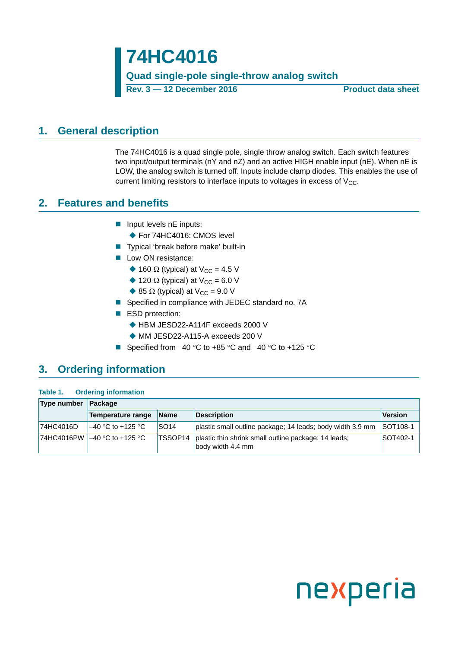**74HC4016 Quad single-pole single-throw analog switch Rev. 3 — 12 December 2016 Product data sheet**

### <span id="page-0-0"></span>**1. General description**

The 74HC4016 is a quad single pole, single throw analog switch. Each switch features two input/output terminals (nY and nZ) and an active HIGH enable input (nE). When nE is LOW, the analog switch is turned off. Inputs include clamp diodes. This enables the use of current limiting resistors to interface inputs to voltages in excess of  $V_{CC}$ .

### <span id="page-0-1"></span>**2. Features and benefits**

- $\blacksquare$  Input levels nE inputs:
	- ◆ For 74HC4016: CMOS level
- Typical 'break before make' built-in
- **Low ON resistance:** 
	- $\triangle$  160  $\Omega$  (typical) at V<sub>CC</sub> = 4.5 V
	- $\triangle$  120 Ω (typical) at V<sub>CC</sub> = 6.0 V
	- $\triangle$  85 Ω (typical) at V<sub>CC</sub> = 9.0 V
- Specified in compliance with JEDEC standard no. 7A
- ESD protection:
	- ◆ HBM JESD22-A114F exceeds 2000 V
	- MM JESD22-A115-A exceeds 200 V
- Specified from  $-40$  °C to  $+85$  °C and  $-40$  °C to  $+125$  °C

### <span id="page-0-2"></span>**3. Ordering information**

#### **Table 1. Ordering information**

| Type number | Package                        |                  |                                                                           |                 |  |  |  |  |  |  |  |
|-------------|--------------------------------|------------------|---------------------------------------------------------------------------|-----------------|--|--|--|--|--|--|--|
|             | Temperature range              | <b>Name</b>      | <b>Description</b>                                                        | <b>Version</b>  |  |  |  |  |  |  |  |
| 74HC4016D   | $-40$ °C to +125 °C            | SO <sub>14</sub> | plastic small outline package; 14 leads; body width 3.9 mm                | <b>SOT108-1</b> |  |  |  |  |  |  |  |
|             | 174HC4016PW 1–40 °C to +125 °C | TSSOP14          | plastic thin shrink small outline package; 14 leads;<br>body width 4.4 mm | <b>SOT402-1</b> |  |  |  |  |  |  |  |

# nexperia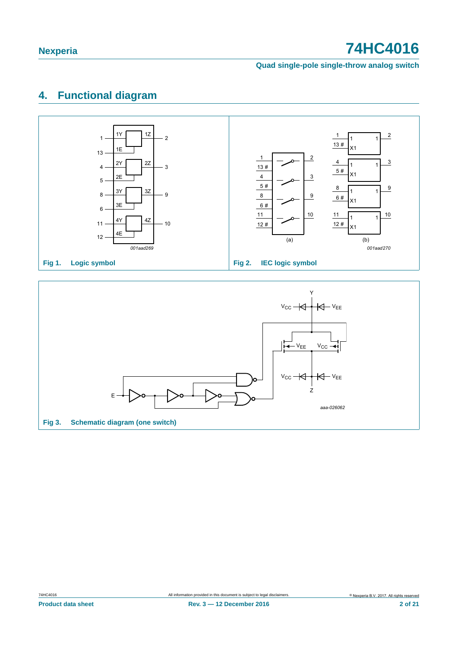**Quad single-pole single-throw analog switch**

# <span id="page-1-0"></span>**4. Functional diagram**



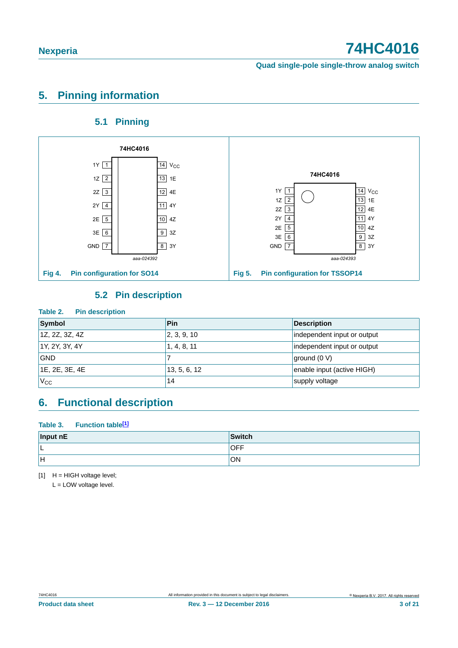**Quad single-pole single-throw analog switch**

# <span id="page-2-1"></span>**5. Pinning information**

### **5.1 Pinning**

<span id="page-2-2"></span>

### **5.2 Pin description**

#### <span id="page-2-3"></span>**Table 2. Pin description**

| Symbol         | <b>Pin</b>   | <b>Description</b>          |
|----------------|--------------|-----------------------------|
| 1Z, 2Z, 3Z, 4Z | 2, 3, 9, 10  | independent input or output |
| 1Y, 2Y, 3Y, 4Y | 1, 4, 8, 11  | independent input or output |
| <b>GND</b>     |              | ground (0 V)                |
| 1E, 2E, 3E, 4E | 13, 5, 6, 12 | enable input (active HIGH)  |
| $V_{\rm CC}$   | 14           | supply voltage              |

### <span id="page-2-4"></span>**6. Functional description**

#### Table 3. Function table<sup>[1]</sup>

| Input nE | Switch     |
|----------|------------|
| ⊢        | <b>OFF</b> |
| lн       | ON         |

<span id="page-2-0"></span> $[1]$  H = HIGH voltage level;

L = LOW voltage level.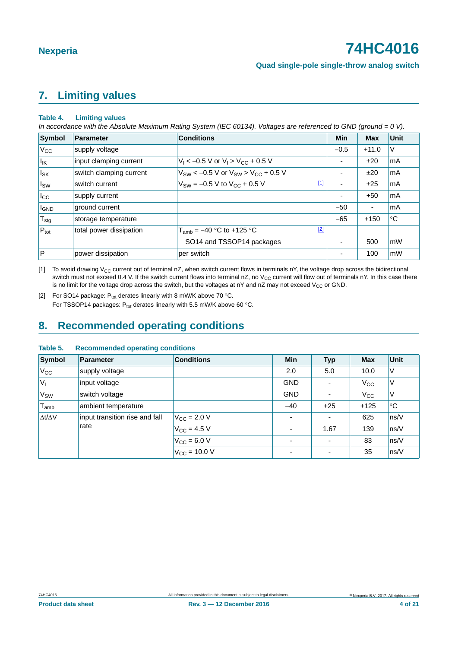# <span id="page-3-2"></span>**7. Limiting values**

#### **Table 4. Limiting values**

*In accordance with the Absolute Maximum Rating System (IEC 60134). Voltages are referenced to GND (ground = 0 V).*

| Symbol           | <b>Parameter</b>        | <b>Conditions</b>                                | <b>Min</b>               | <b>Max</b> | <b>Unit</b>   |
|------------------|-------------------------|--------------------------------------------------|--------------------------|------------|---------------|
| $V_{\rm CC}$     | supply voltage          |                                                  | $-0.5$                   | $+11.0$    | V             |
| $I_{IK}$         | input clamping current  | $V_1$ < -0.5 V or $V_1$ > $V_{CC}$ + 0.5 V       | ۰                        | ±20        | l mA          |
| $I_{SK}$         | switch clamping current | $V_{SW}$ < -0.5 V or $V_{SW}$ > $V_{CC}$ + 0.5 V | ۰                        | ±20        | l mA          |
| Isw              | switch current          | $[1]$<br>$V_{SW} = -0.5 V$ to $V_{CC} + 0.5 V$   | $\overline{\phantom{a}}$ | ±25        | <b>mA</b>     |
| $ _{\text{Lcc}}$ | supply current          |                                                  | $\overline{\phantom{a}}$ | $+50$      | l mA          |
| <b>I</b> GND     | ground current          |                                                  | $-50$                    | ٠          | mA            |
| $T_{\text{stg}}$ | storage temperature     |                                                  | $-65$                    | $+150$     | ∣°C           |
| $P_{\text{tot}}$ | total power dissipation | $[2]$<br>$T_{\text{amb}} = -40$ °C to +125 °C    |                          |            |               |
|                  |                         | SO14 and TSSOP14 packages                        | ۰                        | 500        | mW            |
| <b>P</b>         | power dissipation       | per switch                                       |                          | 100        | $\mathsf{mW}$ |

<span id="page-3-0"></span>[1] To avoid drawing V<sub>CC</sub> current out of terminal nZ, when switch current flows in terminals nY, the voltage drop across the bidirectional switch must not exceed 0.4 V. If the switch current flows into terminal nZ, no  $V_{CC}$  current will flow out of terminals nY. In this case there is no limit for the voltage drop across the switch, but the voltages at nY and nZ may not exceed  $V_{CC}$  or GND.

<span id="page-3-1"></span>[2] For SO14 package:  $P_{tot}$  derates linearly with 8 mW/K above 70 °C. For TSSOP14 packages:  $P_{tot}$  derates linearly with 5.5 mW/K above 60 °C.

### <span id="page-3-3"></span>**8. Recommended operating conditions**

#### **Table 5. Recommended operating conditions**

| <b>Symbol</b>       | <b>Parameter</b>               | <b>Conditions</b>                | <b>Min</b>                   | <b>Typ</b>               | <b>Max</b>   | <b>Unit</b> |
|---------------------|--------------------------------|----------------------------------|------------------------------|--------------------------|--------------|-------------|
| $V_{\rm CC}$        | supply voltage                 |                                  | 2.0                          | 5.0                      | 10.0         | V           |
| $V_{I}$             | input voltage                  |                                  | <b>GND</b>                   |                          | $V_{\rm CC}$ | ٧           |
| V <sub>SW</sub>     | switch voltage                 |                                  | <b>GND</b>                   |                          | $V_{\rm CC}$ | ٧           |
| $T_{\mathsf{amb}}$  | ambient temperature            |                                  | $-40$                        | $+25$                    | $+125$       | $^{\circ}C$ |
| $\Delta t/\Delta V$ | input transition rise and fall | $V_{\rm CC}$ = 2.0 V             | $\blacksquare$               | $\overline{\phantom{0}}$ | 625          | ns/V        |
|                     | rate                           | $V_{\rm CC} = 4.5 V$             | $\qquad \qquad \blacksquare$ | 1.67                     | 139          | ns/V        |
|                     |                                | $V_{\rm CC} = 6.0 V$             | $\overline{\phantom{0}}$     | $\overline{\phantom{0}}$ | 83           | ns/V        |
|                     |                                | $V_{\text{CC}} = 10.0 \text{ V}$ | $\overline{\phantom{0}}$     | $\overline{\phantom{0}}$ | 35           | ns/V        |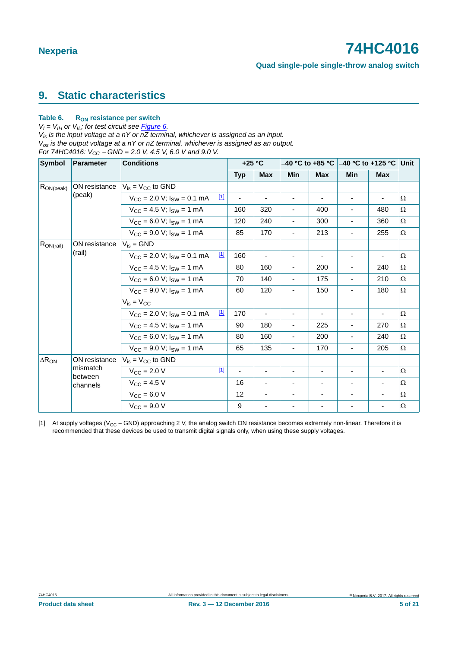#### **Quad single-pole single-throw analog switch**

## <span id="page-4-1"></span>**9. Static characteristics**

#### Table 6. R<sub>ON</sub> resistance per switch

 $V_I = V_{II}$  or  $V_{II}$ ; for test circuit see *Figure 6.* 

*Vis is the input voltage at a nY or nZ terminal, whichever is assigned as an input. Vos is the output voltage at a nY or nZ terminal, whichever is assigned as an output. For 74HC4016:*  $V_{CC}$  – GND = 2.0 V, 4.5 V, 6.0 V and 9.0 V.

| <b>Symbol</b>   | <b>Parameter</b>    | <b>Conditions</b>                                                |                | $+25 °C$                 |                              |                          |                              | $-40$ °C to +85 °C $ -40$ °C to +125 °C $ $ |          |
|-----------------|---------------------|------------------------------------------------------------------|----------------|--------------------------|------------------------------|--------------------------|------------------------------|---------------------------------------------|----------|
|                 |                     |                                                                  | <b>Typ</b>     | <b>Max</b>               | Min                          | <b>Max</b>               | Min                          | <b>Max</b>                                  |          |
| $R_{ON (peak)}$ | ON resistance       | $V_{is} = V_{CC}$ to GND                                         |                |                          |                              |                          |                              |                                             |          |
|                 | (peak)              | $\boxed{1}$<br>$V_{CC}$ = 2.0 V; $I_{SW}$ = 0.1 mA               | $\blacksquare$ | $\blacksquare$           | $\overline{\phantom{a}}$     | ۰.                       | $\overline{\phantom{a}}$     | $\blacksquare$                              | Ω        |
|                 |                     | $V_{CC}$ = 4.5 V; $I_{SW}$ = 1 mA                                | 160            | 320                      | $\blacksquare$               | 400                      |                              | 480                                         | $\Omega$ |
|                 |                     | $V_{CC} = 6.0 V$ ; $I_{SW} = 1 mA$                               | 120            | 240                      | $\overline{\phantom{a}}$     | 300                      | $\qquad \qquad \blacksquare$ | 360                                         | Ω        |
|                 |                     | $V_{CC}$ = 9.0 V; $I_{SW}$ = 1 mA                                | 85             | 170                      | $\overline{\phantom{a}}$     | 213                      | $\blacksquare$               | 255                                         | $\Omega$ |
| $R_{ON(rail)}$  | ON resistance       | $V_{is} = GND$                                                   |                |                          |                              |                          |                              |                                             |          |
|                 | (rail)              | $\boxed{1}$<br>$V_{\text{CC}}$ = 2.0 V; $I_{\text{SW}}$ = 0.1 mA | 160            | $\blacksquare$           | -                            | ۰.                       |                              | $\overline{\phantom{m}}$                    | Ω        |
|                 |                     | $V_{CC}$ = 4.5 V; $I_{SW}$ = 1 mA                                | 80             | 160                      | $\overline{\phantom{a}}$     | 200                      | $\overline{\phantom{a}}$     | 240                                         | Ω        |
|                 |                     | $V_{CC} = 6.0 V$ ; $I_{SW} = 1 mA$                               | 70             | 140                      | $\overline{\phantom{a}}$     | 175                      | $\blacksquare$               | 210                                         | $\Omega$ |
|                 |                     | $V_{CC}$ = 9.0 V; $I_{SW}$ = 1 mA                                | 60             | 120                      | $\qquad \qquad \blacksquare$ | 150                      | $\blacksquare$               | 180                                         | Ω        |
|                 |                     | $V_{is} = V_{CC}$                                                |                |                          |                              |                          |                              |                                             |          |
|                 |                     | $\boxed{1}$<br>$V_{CC}$ = 2.0 V; $I_{SW}$ = 0.1 mA               | 170            | $\blacksquare$           | $\overline{\phantom{a}}$     | $\blacksquare$           | $\overline{\phantom{a}}$     | $\overline{\phantom{m}}$                    | Ω        |
|                 |                     | $V_{CC}$ = 4.5 V; $I_{SW}$ = 1 mA                                | 90             | 180                      | ÷,                           | 225                      | ä,                           | 270                                         | $\Omega$ |
|                 |                     | $V_{CC}$ = 6.0 V; $I_{SW}$ = 1 mA                                | 80             | 160                      |                              | 200                      |                              | 240                                         | Ω        |
|                 |                     | $V_{CC}$ = 9.0 V; $I_{SW}$ = 1 mA                                | 65             | 135                      | $\overline{\phantom{a}}$     | 170                      | $\overline{\phantom{a}}$     | 205                                         | $\Omega$ |
| $\Delta R_{ON}$ | ON resistance       | $V_{is} = V_{CC}$ to GND                                         |                |                          |                              |                          |                              |                                             |          |
|                 | mismatch            | $[1]$<br>$V_{\text{CC}} = 2.0 V$                                 | $\blacksquare$ | $\overline{\phantom{a}}$ | $\overline{\phantom{a}}$     | -                        |                              | $\blacksquare$                              | $\Omega$ |
|                 | between<br>channels | $V_{\text{CC}} = 4.5 V$                                          | 16             | $\blacksquare$           | $\overline{\phantom{a}}$     | $\overline{\phantom{a}}$ |                              |                                             | Ω        |
|                 |                     | $V_{\text{CC}} = 6.0 V$                                          | 12             | $\blacksquare$           | ۰                            |                          |                              |                                             | Ω        |
|                 |                     | $V_{CC} = 9.0 V$                                                 | 9              | $\blacksquare$           | $\overline{\phantom{a}}$     |                          |                              | $\overline{\phantom{a}}$                    | $\Omega$ |

<span id="page-4-0"></span>[1] At supply voltages ( $V_{CC}$  – GND) approaching 2 V, the analog switch ON resistance becomes extremely non-linear. Therefore it is recommended that these devices be used to transmit digital signals only, when using these supply voltages.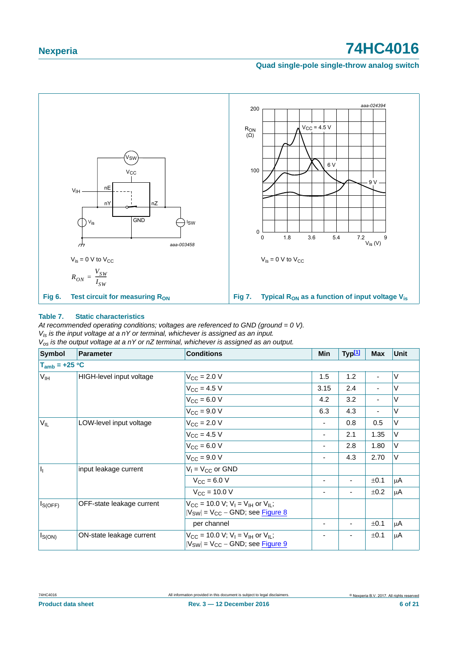#### **Quad single-pole single-throw analog switch**



#### <span id="page-5-0"></span>**Table 7. Static characteristics**

*At recommended operating conditions; voltages are referenced to GND (ground = 0 V).*

*Vis is the input voltage at a nY or terminal, whichever is assigned as an input.*

*Vos is the output voltage at a nY or nZ terminal, whichever is assigned as an output.*

| <b>Symbol</b>      | Parameter                 | <b>Conditions</b>                                                                                                     | Min  | Typ <sup>[1]</sup> | <b>Max</b>               | Unit    |
|--------------------|---------------------------|-----------------------------------------------------------------------------------------------------------------------|------|--------------------|--------------------------|---------|
| $T_{amb} = +25 °C$ |                           |                                                                                                                       |      |                    |                          |         |
| $V_{\text{IH}}$    | HIGH-level input voltage  | $V_{CC} = 2.0 V$                                                                                                      | 1.5  | 1.2                | $\blacksquare$           | V       |
|                    |                           | $V_{CC} = 4.5 V$                                                                                                      | 3.15 | 2.4                | ٠                        | V       |
|                    |                           | $V_{CC}$ = 6.0 V                                                                                                      | 4.2  | 3.2                | $\blacksquare$           | V       |
|                    |                           | $V_{CC} = 9.0 V$                                                                                                      | 6.3  | 4.3                | $\overline{\phantom{a}}$ | V       |
| $V_{IL}$           | LOW-level input voltage   | $V_{\rm CC} = 2.0 V$                                                                                                  |      | 0.8                | 0.5                      | V       |
|                    |                           | $V_{CC}$ = 4.5 V                                                                                                      |      | 2.1                | 1.35                     | V       |
|                    |                           | $V_{CC}$ = 6.0 V                                                                                                      |      | 2.8                | 1.80                     | V       |
|                    |                           | $V_{CC}$ = 9.0 V                                                                                                      | Ξ.   | 4.3                | 2.70                     | V       |
| I <sub>I</sub>     | input leakage current     | $V_1 = V_{CC}$ or GND                                                                                                 |      |                    |                          |         |
|                    |                           | $V_{CC} = 6.0 V$                                                                                                      |      |                    | ±0.1                     | μA      |
|                    |                           | $V_{CC}$ = 10.0 V                                                                                                     |      |                    | ±0.2                     | μA      |
| $I_{S(OFF)}$       | OFF-state leakage current | $V_{CC}$ = 10.0 V; V <sub>I</sub> = V <sub>IH</sub> or V <sub>IL</sub> ;<br>$ V_{SW} $ = $V_{CC}$ – GND; see Figure 8 |      |                    |                          |         |
|                    |                           | per channel                                                                                                           |      |                    | ±0.1                     | μA      |
| $I_{S(ON)}$        | ON-state leakage current  | $V_{CC}$ = 10.0 V; V <sub>I</sub> = V <sub>IH</sub> or V <sub>IL</sub> ;<br>$ V_{SW}  = V_{CC} - GND$ ; see Figure 9  |      |                    | ±0.1                     | $\mu$ A |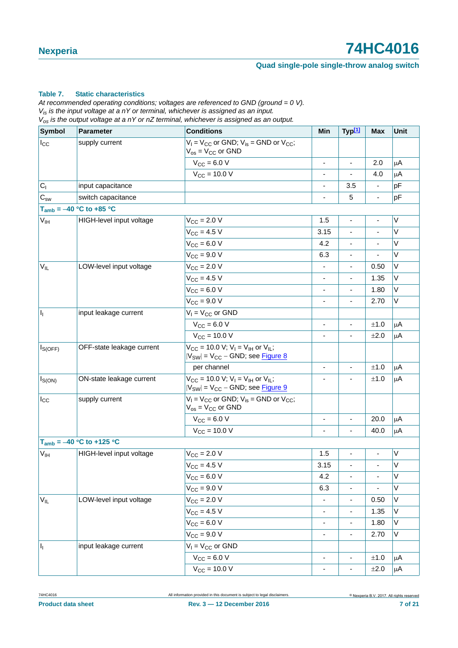#### **Quad single-pole single-throw analog switch**

#### **Table 7. Static characteristics**

*At recommended operating conditions; voltages are referenced to GND (ground = 0 V). Vis is the input voltage at a nY or terminal, whichever is assigned as an input. Vos is the output voltage at a nY or nZ terminal, whichever is assigned as an output.*

| <b>Symbol</b>                                | <b>Parameter</b>              | <b>Conditions</b>                                                                                                            | Min                          | Typ <sup>[1]</sup>           | <b>Max</b>                   | <b>Unit</b> |
|----------------------------------------------|-------------------------------|------------------------------------------------------------------------------------------------------------------------------|------------------------------|------------------------------|------------------------------|-------------|
| $I_{\rm CC}$                                 | supply current                | $V_1 = V_{CC}$ or GND; $V_{is} =$ GND or $V_{CC}$ ;<br>$V_{OS} = V_{CC}$ or GND                                              |                              |                              |                              |             |
|                                              |                               | $V_{CC} = 6.0 V$                                                                                                             |                              | $\blacksquare$               | 2.0                          | $\mu$ A     |
|                                              |                               | $V_{\text{CC}} = 10.0 V$                                                                                                     | ÷,                           | $\overline{\phantom{0}}$     | 4.0                          | μA          |
| $C_1$                                        | input capacitance             |                                                                                                                              |                              | 3.5                          |                              | pF          |
| $\mathbf{C}_{\scriptscriptstyle\mathsf{SW}}$ | switch capacitance            |                                                                                                                              |                              | 5                            |                              | pF          |
|                                              | $T_{amb} = -40 °C$ to +85 °C  |                                                                                                                              |                              |                              |                              |             |
| <b>V<sub>IH</sub></b>                        | HIGH-level input voltage      | $V_{\text{CC}} = 2.0 V$                                                                                                      | 1.5                          | $\blacksquare$               | $\qquad \qquad \blacksquare$ | $\sf V$     |
|                                              |                               | $V_{CC} = 4.5 V$                                                                                                             | 3.15                         | L,                           |                              | $\vee$      |
|                                              |                               | $V_{CC} = 6.0 V$                                                                                                             | 4.2                          | $\blacksquare$               |                              | V           |
|                                              |                               | $V_{CC} = 9.0 V$                                                                                                             | 6.3                          | ÷,                           |                              | $\sf V$     |
| $V_{IL}$                                     | LOW-level input voltage       | $V_{\text{CC}} = 2.0 V$                                                                                                      | $\overline{\phantom{0}}$     | $\overline{\phantom{a}}$     | 0.50                         | V           |
|                                              |                               | $V_{CC} = 4.5 V$                                                                                                             |                              | ä,                           | 1.35                         | V           |
|                                              |                               | $V_{CC} = 6.0 V$                                                                                                             | -                            | $\overline{\phantom{a}}$     | 1.80                         | V           |
|                                              |                               | $V_{\text{CC}} = 9.0 V$                                                                                                      |                              |                              | 2.70                         | $\vee$      |
| h                                            | input leakage current         | $V_1 = V_{CC}$ or GND                                                                                                        |                              |                              |                              |             |
|                                              |                               | $V_{CC}$ = 6.0 V                                                                                                             | ä,                           | ÷,                           | ±1.0                         | $\mu$ A     |
|                                              |                               | $V_{\text{CC}} = 10.0 V$                                                                                                     | L.                           |                              | ±2.0                         | $\mu$ A     |
| $ I_{S(OFF)} $                               | OFF-state leakage current     | $V_{CC}$ = 10.0 V; V <sub>I</sub> = V <sub>IH</sub> or V <sub>II</sub> ;<br>$ V_{SW} $ = $V_{CC}$ – GND; see <b>Figure 8</b> |                              |                              |                              |             |
|                                              |                               | per channel                                                                                                                  | $\overline{\phantom{a}}$     | $\overline{\phantom{0}}$     | ±1.0                         | $\mu$ A     |
| $I_{S(ON)}$                                  | ON-state leakage current      | $V_{CC}$ = 10.0 V; V <sub>I</sub> = V <sub>IH</sub> or V <sub>IL</sub> ;<br>$ V_{SW}  = V_{CC} - GND$ ; see Figure 9         |                              |                              | ±1.0                         | μA          |
| $I_{\rm CC}$                                 | supply current                | $V_1 = V_{CC}$ or GND; $V_{is} =$ GND or $V_{CC}$ ;<br>$V_{os}$ = $V_{CC}$ or GND                                            |                              |                              |                              |             |
|                                              |                               | $V_{CC} = 6.0 V$                                                                                                             | $\overline{\phantom{a}}$     | $\overline{\phantom{a}}$     | 20.0                         | μA          |
|                                              |                               | $V_{\text{CC}} = 10.0 V$                                                                                                     |                              |                              | 40.0                         | μA          |
|                                              | $T_{amb} = -40 °C$ to +125 °C |                                                                                                                              |                              |                              |                              |             |
| V <sub>IH</sub>                              | HIGH-level input voltage      | $V_{\text{CC}} = 2.0 V$                                                                                                      | 1.5                          |                              |                              | $\sf V$     |
|                                              |                               | $V_{CC}$ = 4.5 V                                                                                                             | 3.15                         | $\blacksquare$               |                              | $\sf V$     |
|                                              |                               | $V_{CC} = 6.0 V$                                                                                                             | 4.2                          | ÷,                           |                              | $\sf V$     |
|                                              |                               | $V_{CC} = 9.0 V$                                                                                                             | 6.3                          | $\overline{\phantom{0}}$     |                              | V           |
| $V_{IL}$                                     | LOW-level input voltage       | $V_{\text{CC}} = 2.0 V$                                                                                                      |                              | ۰                            | 0.50                         | V           |
|                                              |                               | $V_{\text{CC}} = 4.5 V$                                                                                                      | $\overline{\phantom{0}}$     | $\qquad \qquad \blacksquare$ | 1.35                         | V           |
|                                              |                               | $V_{CC} = 6.0 V$                                                                                                             |                              | -                            | 1.80                         | V           |
|                                              |                               | $V_{\text{CC}} = 9.0 V$                                                                                                      | $\overline{\phantom{0}}$     | -                            | 2.70                         | V           |
| h                                            | input leakage current         | $V_1 = V_{CC}$ or GND                                                                                                        |                              |                              |                              |             |
|                                              |                               | $V_{CC} = 6.0 V$                                                                                                             | $\qquad \qquad \blacksquare$ | $\overline{\phantom{0}}$     | ±1.0                         | $\mu$ A     |
|                                              |                               | $V_{CC} = 10.0 V$                                                                                                            |                              |                              | $\pm 2.0$                    | $\mu$ A     |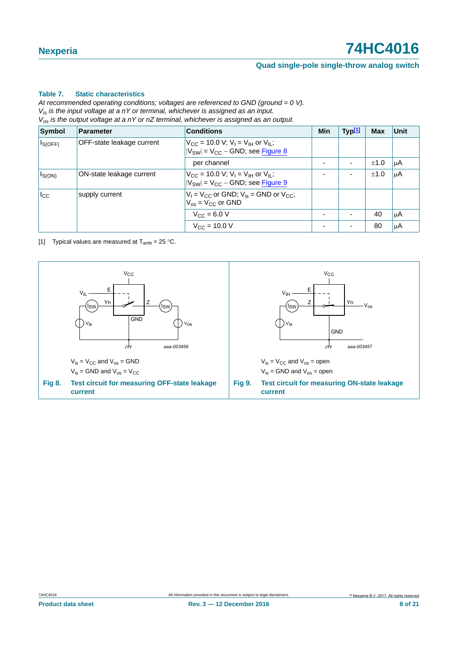#### **Quad single-pole single-throw analog switch**

#### **Table 7. Static characteristics**

*At recommended operating conditions; voltages are referenced to GND (ground = 0 V). Vis is the input voltage at a nY or terminal, whichever is assigned as an input. Vos is the output voltage at a nY or nZ terminal, whichever is assigned as an output.*

| Symbol                                           | Parameter                | <b>Conditions</b>                                                                                                           | <b>Min</b> | Typ <sup>[1]</sup>       | Max  | Unit |
|--------------------------------------------------|--------------------------|-----------------------------------------------------------------------------------------------------------------------------|------------|--------------------------|------|------|
| <b>OFF-state leakage current</b><br>$I_{S(OFF)}$ |                          | $V_{\text{CC}}$ = 10.0 V; V <sub>I</sub> = V <sub>IH</sub> or V <sub>IL</sub> ;<br>$ V_{SW}  = V_{CC} - GND$ ; see Figure 8 |            |                          |      |      |
|                                                  |                          | per channel                                                                                                                 |            | $\overline{\phantom{0}}$ | ±1.0 | ΙuΑ  |
| $I_{S(ON)}$                                      | ON-state leakage current | $V_{\rm CC}$ = 10.0 V; V <sub>I</sub> = V <sub>IH</sub> or V <sub>II</sub> ;<br>$ V_{SW}  = V_{CC} - GND$ ; see Figure 9    |            | ۰                        | ±1.0 | μA   |
| $I_{\rm CC}$                                     | supply current           | $V_1 = V_{CC}$ or GND; $V_{is}$ = GND or $V_{CC}$ ;<br>$V_{\text{os}} = V_{\text{CC}}$ or GND                               |            |                          |      |      |
|                                                  |                          | $V_{C} = 6.0 V$                                                                                                             |            | $\overline{\phantom{a}}$ | 40   | ΙuΑ  |
|                                                  |                          | $V_{\rm CC}$ = 10.0 V                                                                                                       |            | $\overline{\phantom{0}}$ | 80   | μA   |

<span id="page-7-2"></span><span id="page-7-1"></span>[1] Typical values are measured at  $T_{amb} = 25 \degree C$ .

<span id="page-7-0"></span>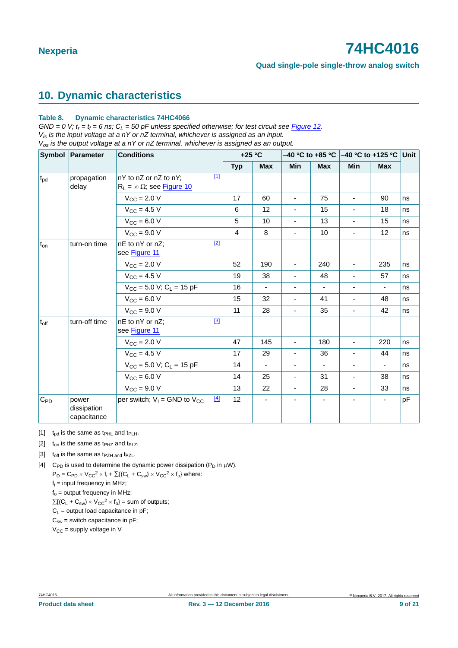## <span id="page-8-4"></span>**10. Dynamic characteristics**

#### **Table 8. Dynamic characteristics 74HC4066**

 $GND = 0$  V;  $t_r = t_f = 6$  ns;  $C_L = 50$  pF unless specified otherwise; for test circuit see [Figure 12](#page-10-0). *Vis is the input voltage at a nY or nZ terminal, whichever is assigned as an input. Vos is the output voltage at a nY or nZ terminal, whichever is assigned as an output.*

|                  | Symbol Parameter                    | <b>Conditions</b>                                                       | $+25 °C$   |                          |                              |                          | –40 °C to +85 °C  –40 °C to +125 °C  Unit |                          |    |
|------------------|-------------------------------------|-------------------------------------------------------------------------|------------|--------------------------|------------------------------|--------------------------|-------------------------------------------|--------------------------|----|
|                  |                                     |                                                                         | <b>Typ</b> | <b>Max</b>               | Min                          | <b>Max</b>               | <b>Min</b>                                | <b>Max</b>               |    |
| t <sub>pd</sub>  | propagation<br>delay                | $[1]$<br>nY to nZ or nZ to nY:<br>$R_L = \infty \Omega$ ; see Figure 10 |            |                          |                              |                          |                                           |                          |    |
|                  |                                     | $V_{\text{CC}} = 2.0 V$                                                 | 17         | 60                       | $\blacksquare$               | 75                       | ÷.                                        | 90                       | ns |
|                  |                                     | $V_{CC}$ = 4.5 V                                                        | 6          | 12                       |                              | 15                       |                                           | 18                       | ns |
|                  |                                     | $V_{CC} = 6.0 V$                                                        | 5          | 10                       | $\overline{\phantom{a}}$     | 13                       | $\blacksquare$                            | 15                       | ns |
|                  |                                     | $V_{CC} = 9.0 V$                                                        | 4          | 8                        |                              | 10                       | $\overline{\phantom{0}}$                  | $12 \overline{ }$        | ns |
| $t_{on}$         | turn-on time                        | $[2]$<br>nE to nY or nZ;<br>see Figure 11                               |            |                          |                              |                          |                                           |                          |    |
|                  |                                     | $V_{\text{CC}} = 2.0 V$                                                 | 52         | 190                      | $\overline{\phantom{a}}$     | 240                      | $\overline{\phantom{0}}$                  | 235                      | ns |
|                  |                                     | $V_{CC}$ = 4.5 V                                                        | 19         | 38                       |                              | 48                       |                                           | 57                       | ns |
|                  |                                     | $V_{CC}$ = 5.0 V; C <sub>L</sub> = 15 pF                                | 16         | $\overline{\phantom{a}}$ | $\qquad \qquad \blacksquare$ | $\blacksquare$           | $\blacksquare$                            | $\overline{\phantom{a}}$ | ns |
|                  |                                     | $V_{CC} = 6.0 V$                                                        | 15         | 32                       | $\overline{\phantom{a}}$     | 41                       | ÷,                                        | 48                       | ns |
|                  |                                     | $V_{CC} = 9.0 V$                                                        | 11         | 28                       | $\blacksquare$               | 35                       | $\blacksquare$                            | 42                       | ns |
| $t_{\text{off}}$ | turn-off time                       | $[3]$<br>nE to nY or nZ;<br>see Figure 11                               |            |                          |                              |                          |                                           |                          |    |
|                  |                                     | $V_{CC}$ = 2.0 V                                                        | 47         | 145                      | $\blacksquare$               | 180                      | ÷.                                        | 220                      | ns |
|                  |                                     | $V_{CC} = 4.5 V$                                                        | 17         | 29                       | $\overline{\phantom{a}}$     | 36                       | $\overline{\phantom{a}}$                  | 44                       | ns |
|                  |                                     | $V_{CC}$ = 5.0 V; C <sub>L</sub> = 15 pF                                | 14         | ä,                       | $\overline{\phantom{a}}$     | $\overline{\phantom{a}}$ | $\blacksquare$                            | $\overline{\phantom{a}}$ | ns |
|                  |                                     | $V_{CC} = 6.0 V$                                                        | 14         | 25                       | $\qquad \qquad \blacksquare$ | 31                       | $\overline{\phantom{a}}$                  | 38                       | ns |
|                  |                                     | $V_{CC}$ = 9.0 V                                                        | 13         | 22                       | $\overline{\phantom{a}}$     | 28                       | $\blacksquare$                            | 33                       | ns |
| $C_{PD}$         | power<br>dissipation<br>capacitance | $[4]$<br>per switch; $V_1 =$ GND to $V_{CC}$                            | 12         |                          |                              |                          |                                           |                          | pF |

<span id="page-8-1"></span>[1]  $t_{\text{od}}$  is the same as  $t_{\text{PHL}}$  and  $t_{\text{PLH}}$ .

<span id="page-8-0"></span>[2]  $t_{on}$  is the same as  $t_{PHZ}$  and  $t_{PLZ}$ .

<span id="page-8-2"></span>[3]  $t_{off}$  is the same as  $t_{PZH}$  and  $t_{PZL}$ .

<span id="page-8-3"></span>[4] C<sub>PD</sub> is used to determine the dynamic power dissipation ( $P_D$  in  $\mu$ W).

 $P_D = C_{PD} \times V_{CC}^2 \times f_i + \sum \{ (C_L + C_{sw}) \times V_{CC}^2 \times f_0 \}$  where:

fi = input frequency in MHz;  $f_0$  = output frequency in MHz;

 $\Sigma\{(\mathsf{C}_\mathsf{L} + \mathsf{C}_{\mathsf{sw}}) \times \mathsf{V}_{\mathsf{CC}}^2 \times \mathsf{f}_{\mathsf{o}}\} = \text{sum of outputs};$ 

 $C_1$  = output load capacitance in pF;

 $C_{sw}$  = switch capacitance in pF;

 $V_{CC}$  = supply voltage in V.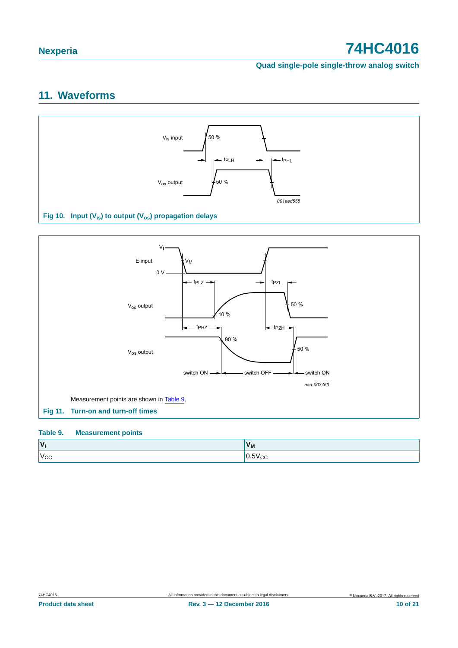**Quad single-pole single-throw analog switch**

# <span id="page-9-3"></span>**11. Waveforms**



<span id="page-9-1"></span>

#### <span id="page-9-2"></span><span id="page-9-0"></span>**Table 9. Measurement points**

| $\mathbf{v}$   | 'NI |
|----------------|-----|
| $\lceil$<br>"V |     |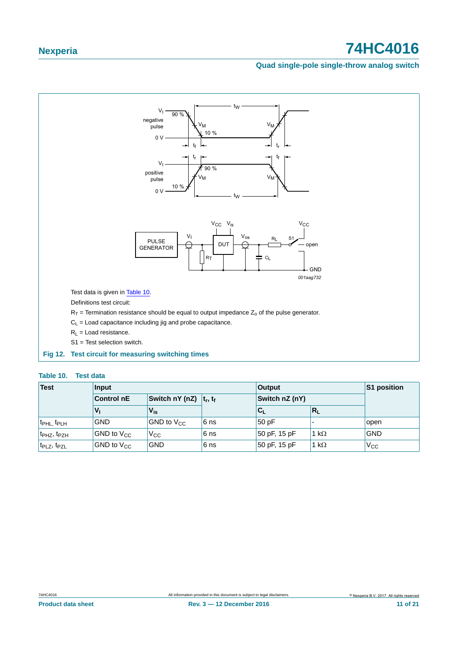#### **Quad single-pole single-throw analog switch**



#### <span id="page-10-0"></span>**Fig 12. Test circuit for measuring switching times**

#### <span id="page-10-1"></span>**Table 10. Test data**

| <b>Test</b>                         | Input                                            |                    |      | <b>Output</b>  | S1 position  |              |
|-------------------------------------|--------------------------------------------------|--------------------|------|----------------|--------------|--------------|
|                                     | Switch nY (nZ) $ t_r, t_f $<br><b>Control nE</b> |                    |      | Switch nZ (nY) |              |              |
|                                     | $V_{I}$                                          | $V_{\rm is}$       |      | $C_{\rm L}$    | $ R_L$       |              |
| t <sub>PHL,</sub> t <sub>PLH</sub>  | <b>GND</b>                                       | $ GND$ to $V_{CC}$ | 6 ns | 50pF           |              | open         |
| t <sub>PHZ</sub> , t <sub>PZH</sub> | $ GND$ to $V_{CC}$                               | $V_{\rm CC}$       | 6 ns | 50 pF, 15 pF   | 1 k $\Omega$ | <b>GND</b>   |
| t <sub>PLZ</sub> , t <sub>PZL</sub> | GND to $V_{CC}$                                  | <b>GND</b>         | 6 ns | 50 pF, 15 pF   | 1 k $\Omega$ | $V_{\rm CC}$ |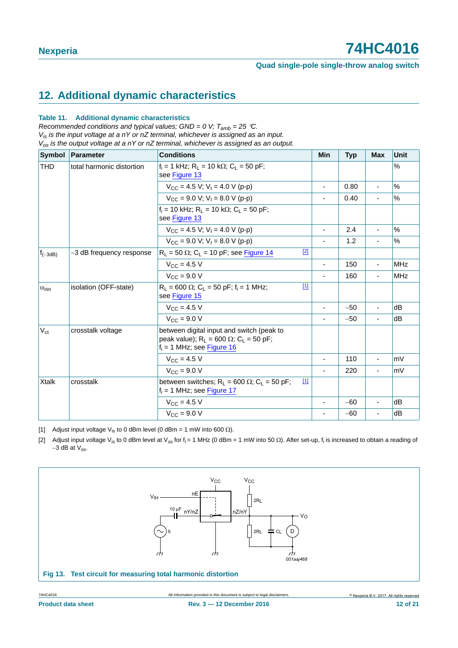# <span id="page-11-3"></span>**12. Additional dynamic characteristics**

#### **Table 11. Additional dynamic characteristics**

*Recommended conditions and typical values; GND = 0 V; Tamb = 25 C. Vis is the input voltage at a nY or nZ terminal, whichever is assigned as an input. Vos is the output voltage at a nY or nZ terminal, whichever is assigned as an output.*

| Symbol             | Parameter                 | <b>Conditions</b>                                                                                                              | Min                      | <b>Typ</b> | <b>Max</b>               | <b>Unit</b> |
|--------------------|---------------------------|--------------------------------------------------------------------------------------------------------------------------------|--------------------------|------------|--------------------------|-------------|
| <b>THD</b>         | total harmonic distortion | $f_i = 1$ kHz; R <sub>1</sub> = 10 k $\Omega$ ; C <sub>1</sub> = 50 pF;<br>see Figure 13                                       |                          |            |                          | %           |
|                    |                           | $V_{CC} = 4.5 V$ : $V_1 = 4.0 V (p-p)$                                                                                         | $\overline{\phantom{a}}$ | 0.80       | $\overline{a}$           | %           |
|                    |                           | $V_{CC}$ = 9.0 V; V <sub>1</sub> = 8.0 V (p-p)                                                                                 | ٠                        | 0.40       |                          | %           |
|                    |                           | $f_i = 10$ kHz; $R_L = 10$ k $\Omega$ ; $C_L = 50$ pF;<br>see Figure 13                                                        |                          |            |                          |             |
|                    |                           | $V_{CC}$ = 4.5 V; V <sub>1</sub> = 4.0 V (p-p)                                                                                 | $\overline{\phantom{a}}$ | 2.4        | $\overline{\phantom{a}}$ | %           |
|                    |                           | $V_{CC}$ = 9.0 V; V <sub>1</sub> = 8.0 V (p-p)                                                                                 | ٠                        | 1.2        |                          | %           |
| $f_{(-3dB)}$       | -3 dB frequency response  | $[2]$<br>$R_L$ = 50 $\Omega$ ; C <sub>L</sub> = 10 pF; see Figure 14                                                           |                          |            |                          |             |
|                    |                           | $V_{\rm CC} = 4.5 V$                                                                                                           | ÷,                       | 150        |                          | <b>MHz</b>  |
|                    |                           | $V_{\text{CC}} = 9.0 V$                                                                                                        |                          | 160        |                          | <b>MHz</b>  |
| $\alpha_{\rm iso}$ | isolation (OFF-state)     | $[1]$<br>$R_1 = 600 \Omega$ ; C <sub>1</sub> = 50 pF; f <sub>i</sub> = 1 MHz;<br>see Figure 15                                 |                          |            |                          |             |
|                    |                           | $V_{\rm CC}$ = 4.5 V                                                                                                           |                          | $-50$      |                          | dB          |
|                    |                           | $V_{\text{CC}} = 9.0 V$                                                                                                        |                          | $-50$      |                          | dB          |
| $V_{ct}$           | crosstalk voltage         | between digital input and switch (peak to<br>peak value); $R_L = 600 \Omega$ ; $C_L = 50 pF$ ;<br>$f_i = 1$ MHz; see Figure 16 |                          |            |                          |             |
|                    |                           | $V_{\rm CC} = 4.5 V$                                                                                                           | ٠                        | 110        | $\overline{\phantom{a}}$ | mV          |
|                    |                           | $V_{\text{CC}} = 9.0 V$                                                                                                        |                          | 220        |                          | mV          |
| Xtalk              | crosstalk                 | $[1]$<br>between switches; $R_L = 600 \Omega$ ; $C_L = 50 pF$ ;<br>$f_i = 1$ MHz; see Figure 17                                |                          |            |                          |             |
|                    |                           | $V_{\text{CC}} = 4.5 \text{ V}$                                                                                                | ٠                        | $-60$      | $\overline{a}$           | dB          |
|                    |                           | $V_{\rm CC} = 9.0 V$                                                                                                           |                          | $-60$      |                          | dB          |

<span id="page-11-2"></span>[1] Adjust input voltage V<sub>is</sub> to 0 dBm level (0 dBm = 1 mW into 600  $\Omega$ ).

<span id="page-11-1"></span>[2] Adjust input voltage V<sub>is</sub> to 0 dBm level at V<sub>os</sub> for f<sub>i</sub> = 1 MHz (0 dBm = 1 mW into 50  $\Omega$ ). After set-up, f<sub>i</sub> is increased to obtain a reading of  $-3$  dB at  $V_{\text{os}}$ .

<span id="page-11-0"></span>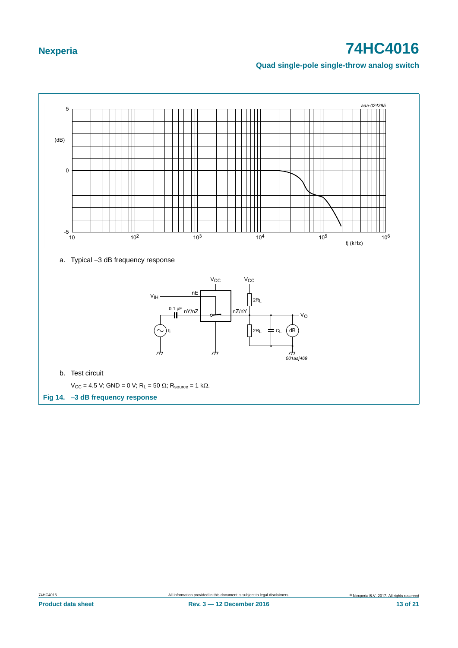### **Quad single-pole single-throw analog switch**

<span id="page-12-0"></span>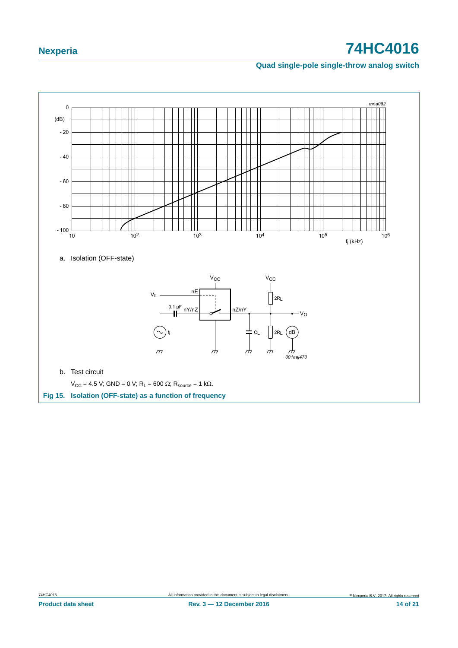### **Quad single-pole single-throw analog switch**



<span id="page-13-0"></span>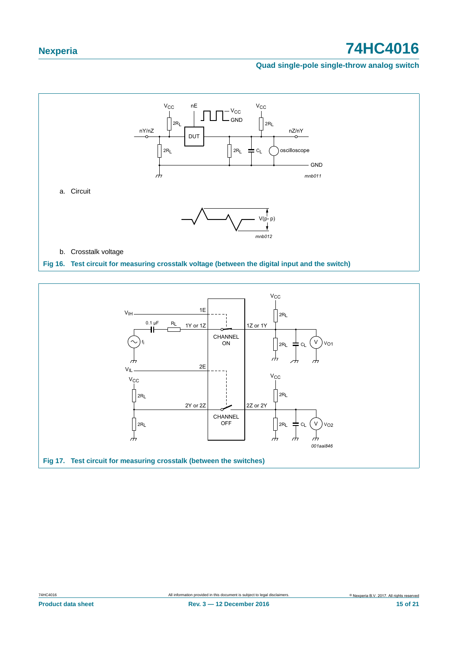#### **Quad single-pole single-throw analog switch**



<span id="page-14-1"></span><span id="page-14-0"></span>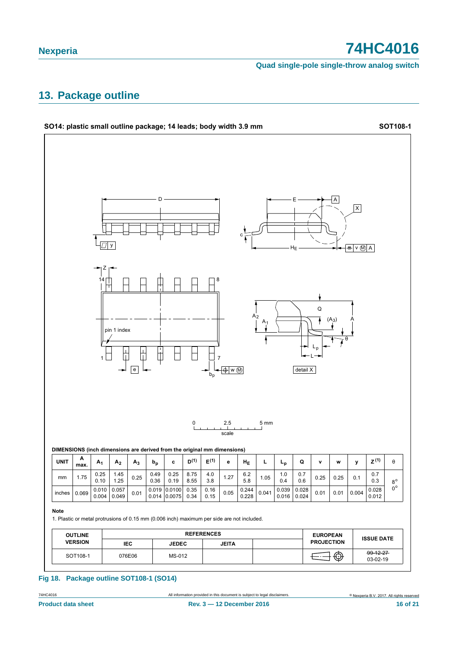**Quad single-pole single-throw analog switch**

## <span id="page-15-0"></span>**13. Package outline**



#### **Fig 18. Package outline SOT108-1 (SO14)**

74HC4016 All information provided in this document is subject to legal disclaimers.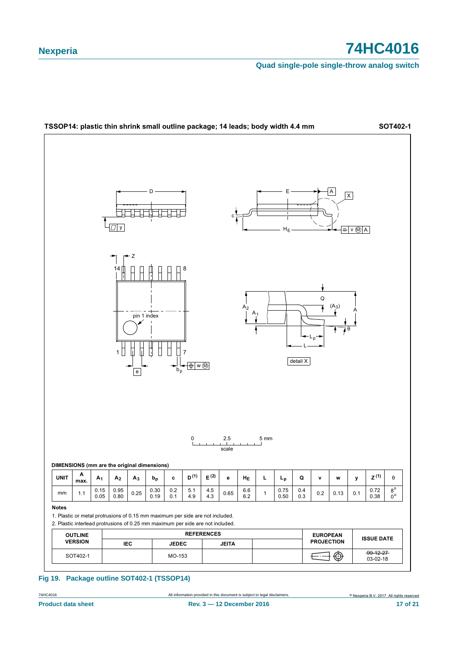**Quad single-pole single-throw analog switch**



#### **Fig 19. Package outline SOT402-1 (TSSOP14)**

74HC4016 All information provided in this document is subject to legal disclaimers.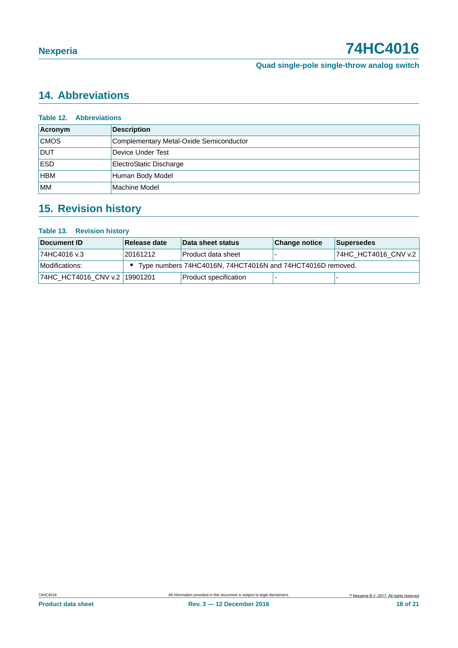# <span id="page-17-0"></span>**14. Abbreviations**

| <b>Table 12. Abbreviations</b> |                                         |  |  |
|--------------------------------|-----------------------------------------|--|--|
| Acronym                        | <b>Description</b>                      |  |  |
| <b>CMOS</b>                    | Complementary Metal-Oxide Semiconductor |  |  |
| <b>DUT</b>                     | Device Under Test                       |  |  |
| <b>ESD</b>                     | ElectroStatic Discharge                 |  |  |
| <b>HBM</b>                     | Human Body Model                        |  |  |
| <b>MM</b>                      | Machine Model                           |  |  |

# <span id="page-17-1"></span>**15. Revision history**

#### **Table 13. Revision history**

| Document ID                   | Release date | Data sheet status                                            | <b>Change notice</b> | <b>Supersedes</b>    |
|-------------------------------|--------------|--------------------------------------------------------------|----------------------|----------------------|
| 74HC4016 v.3                  | 20161212     | Product data sheet                                           |                      | 74HC HCT4016 CNV v.2 |
| Modifications:                |              | • Type numbers 74HC4016N, 74HCT4016N and 74HCT4016D removed. |                      |                      |
| 74HC HCT4016 CNV v.2 19901201 |              | Product specification                                        |                      |                      |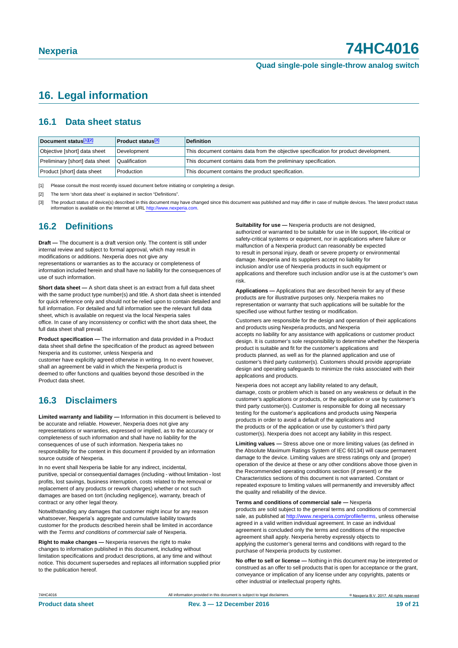## <span id="page-18-3"></span>**16. Legal information**

### <span id="page-18-4"></span>**16.1 Data sheet status**

| Document status[1][2]          | <b>Product status</b> <sup>[3]</sup> | <b>Definition</b>                                                                     |
|--------------------------------|--------------------------------------|---------------------------------------------------------------------------------------|
| Objective [short] data sheet   | Development                          | This document contains data from the objective specification for product development. |
| Preliminary [short] data sheet | Qualification                        | This document contains data from the preliminary specification.                       |
| Product [short] data sheet     | Production                           | This document contains the product specification.                                     |

<span id="page-18-0"></span>[1] Please consult the most recently issued document before initiating or completing a design.

<span id="page-18-1"></span>[2] The term 'short data sheet' is explained in section "Definitions".

<span id="page-18-2"></span>[3] The product status of device(s) described in this document may have changed since this document was published and may differ in case of multiple devices. The latest product status<br>information is available on the Intern

### <span id="page-18-5"></span>**16.2 Definitions**

**Draft —** The document is a draft version only. The content is still under internal review and subject to formal approval, which may result in modifications or additions. Nexperia does not give any

representations or warranties as to the accuracy or completeness of information included herein and shall have no liability for the consequences of use of such information.

**Short data sheet —** A short data sheet is an extract from a full data sheet with the same product type number(s) and title. A short data sheet is intended for quick reference only and should not be relied upon to contain detailed and full information. For detailed and full information see the relevant full data sheet, which is available on request via the local Nexperia sales office. In case of any inconsistency or conflict with the short data sheet, the full data sheet shall prevail.

**Product specification —** The information and data provided in a Product data sheet shall define the specification of the product as agreed between Nexperia and its customer, unless Nexperia and

customer have explicitly agreed otherwise in writing. In no event however, shall an agreement be valid in which the Nexperia product is deemed to offer functions and qualities beyond those described in the Product data sheet.

### <span id="page-18-6"></span>**16.3 Disclaimers**

**Limited warranty and liability —** Information in this document is believed to be accurate and reliable. However, Nexperia does not give any representations or warranties, expressed or implied, as to the accuracy or completeness of such information and shall have no liability for the consequences of use of such information. Nexperia takes no responsibility for the content in this document if provided by an information source outside of Nexperia.

In no event shall Nexperia be liable for any indirect, incidental, punitive, special or consequential damages (including - without limitation - lost profits, lost savings, business interruption, costs related to the removal or replacement of any products or rework charges) whether or not such damages are based on tort (including negligence), warranty, breach of contract or any other legal theory.

Notwithstanding any damages that customer might incur for any reason whatsoever, Nexperia's aggregate and cumulative liability towards customer for the products described herein shall be limited in accordance with the *Terms and conditions of commercial sale* of Nexperia.

**Right to make changes —** Nexperia reserves the right to make changes to information published in this document, including without limitation specifications and product descriptions, at any time and without notice. This document supersedes and replaces all information supplied prior to the publication hereof.

**Suitability for use - Nexperia products are not designed** authorized or warranted to be suitable for use in life support, life-critical or safety-critical systems or equipment, nor in applications where failure or malfunction of a Nexperia product can reasonably be expected to result in personal injury, death or severe property or environmental damage. Nexperia and its suppliers accept no liability for inclusion and/or use of Nexperia products in such equipment or applications and therefore such inclusion and/or use is at the customer's own risk.

**Applications —** Applications that are described herein for any of these products are for illustrative purposes only. Nexperia makes no representation or warranty that such applications will be suitable for the specified use without further testing or modification.

Customers are responsible for the design and operation of their applications and products using Nexperia products, and Nexperia accepts no liability for any assistance with applications or customer product design. It is customer's sole responsibility to determine whether the Nexperia product is suitable and fit for the customer's applications and products planned, as well as for the planned application and use of customer's third party customer(s). Customers should provide appropriate design and operating safeguards to minimize the risks associated with their applications and products.

Nexperia does not accept any liability related to any default, damage, costs or problem which is based on any weakness or default in the customer's applications or products, or the application or use by customer's third party customer(s). Customer is responsible for doing all necessary testing for the customer's applications and products using Nexperia products in order to avoid a default of the applications and the products or of the application or use by customer's third party customer(s). Nexperia does not accept any liability in this respect.

**Limiting values —** Stress above one or more limiting values (as defined in the Absolute Maximum Ratings System of IEC 60134) will cause permanent damage to the device. Limiting values are stress ratings only and (proper) operation of the device at these or any other conditions above those given in the Recommended operating conditions section (if present) or the Characteristics sections of this document is not warranted. Constant or repeated exposure to limiting values will permanently and irreversibly affect the quality and reliability of the device.

**Terms and conditions of commercial sale —** Nexperia

products are sold subject to the general terms and conditions of commercial sale, as published at [http://www.nexperia.com/profile/te](http://www.nexperia.com/profile/terms)rms, unless otherwise agreed in a valid written individual agreement. In case an individual agreement is concluded only the terms and conditions of the respective agreement shall apply. Nexperia hereby expressly objects to applying the customer's general terms and conditions with regard to the purchase of Nexperia products by customer.

**No offer to sell or license —** Nothing in this document may be interpreted or construed as an offer to sell products that is open for acceptance or the grant, conveyance or implication of any license under any copyrights, patents or other industrial or intellectual property rights.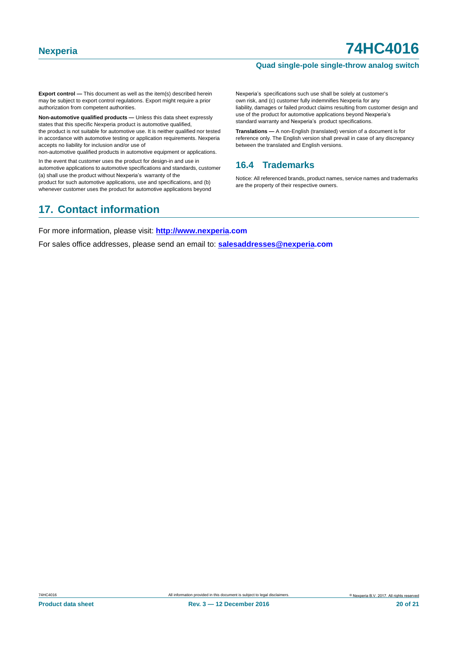#### **Quad single-pole single-throw analog switch**

**Export control —** This document as well as the item(s) described herein may be subject to export control regulations. Export might require a prior authorization from competent authorities.

**Non-automotive qualified products —** Unless this data sheet expressly states that this specific Nexperia product is automotive qualified, the product is not suitable for automotive use. It is neither qualified nor tested in accordance with automotive testing or application requirements. Nexperia accepts no liability for inclusion and/or use of

non-automotive qualified products in automotive equipment or applications.

In the event that customer uses the product for design-in and use in automotive applications to automotive specifications and standards, customer (a) shall use the product without Nexperia's warranty of the

product for such automotive applications, use and specifications, and (b) whenever customer uses the product for automotive applications beyond Nexperia's specifications such use shall be solely at customer's own risk, and (c) customer fully indemnifies Nexperia for any liability, damages or failed product claims resulting from customer design and use of the product for automotive applications beyond Nexperia's standard warranty and Nexperia's product specifications.

**Translations —** A non-English (translated) version of a document is for reference only. The English version shall prevail in case of any discrepancy between the translated and English versions.

### <span id="page-19-0"></span>**16.4 Trademarks**

Notice: All referenced brands, product names, service names and trademarks are the property of their respective owners.

## <span id="page-19-1"></span>**17. Contact information**

For more information, please visit: **http://www.nexperia.com**

For sales office addresses, please send an email to: **salesaddresses@nexperia.com**